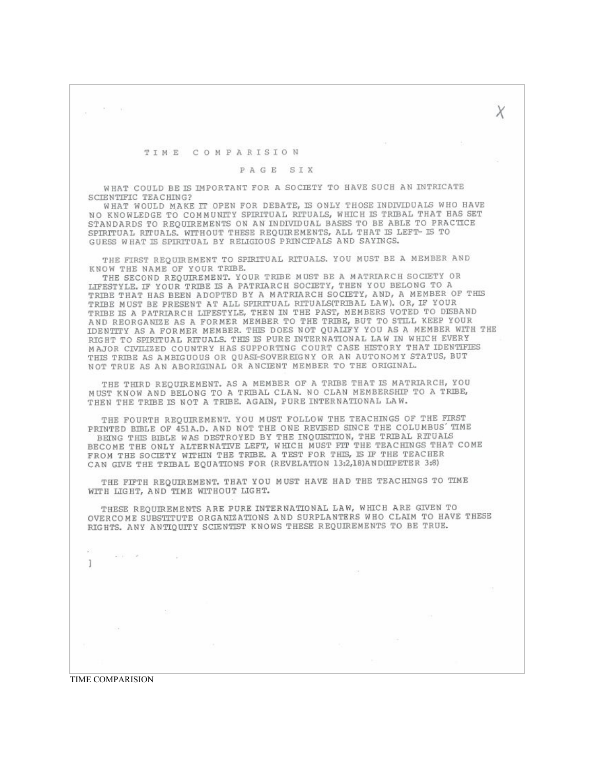权利

## TIME COMPARISION

## PAGE SIX

Χ

WHAT COULD BE IS IMPORTANT FOR A SOCIETY TO HAVE SUCH AN INTRICATE SCIENTIFIC TEACHING?

WHAT WOULD MAKE IT OPEN FOR DEBATE, IS ONLY THOSE INDIVIDUALS WHO HAVE NO KNOWLEDGE TO COMMUNITY SPIRITUAL RITUALS, WHICH IS TRIBAL THAT HAS SET STANDARDS TO REQUIREMENTS ON AN INDIVIDUAL BASES TO BE ABLE TO PRACTICE SPIRITUAL RITUALS. WITHOUT THESE REQUIREMENTS, ALL THAT IS LEFT- IS TO GUESS WHAT IS SPIRITUAL BY RELIGIOUS PRINCIPALS AND SAYINGS.

THE FIRST REOUIREMENT TO SPIRITUAL RITUALS. YOU MUST BE A MEMBER AND KNOW THE NAME OF YOUR TRIBE.

THE SECOND REQUIREMENT. YOUR TRIBE MUST BE A MATRIARCH SOCIETY OR LIFESTYLE. IF YOUR TRIBE IS A PATRIARCH SOCIETY, THEN YOU BELONG TO A TRIBE THAT HAS BEEN ADOPTED BY A MATRIARCH SOCIETY, AND, A MEMBER OF THIS TRIBE MUST BE PRESENT AT ALL SPIRITUAL RITUALS(TRIBAL LAW). OR, IF YOUR TRIBE IS A PATRIARCH LIFESTYLE, THEN IN THE PAST, MEMBERS VOTED TO DISBAND AND REORGANIZE AS A FORMER MEMBER TO THE TRIBE, BUT TO STILL KEEP YOUR IDENTITY AS A FORMER MEMBER. THIS DOES NOT QUALIFY YOU AS A MEMBER WITH THE RIGHT TO SPIRITUAL RITUALS. THIS IS PURE INTERNATIONAL LAW IN WHICH EVERY MAJOR CIVILIZED COUNTRY HAS SUPPORTING COURT CASE HISTORY THAT IDENTIFIES THIS TRIBE AS AMBIGUOUS OR OUASI-SOVEREIGNY OR AN AUTONOMY STATUS, BUT NOT TRUE AS AN ABORIGINAL OR ANCIENT MEMBER TO THE ORIGINAL.

THE THIRD REQUIREMENT. AS A MEMBER OF A TRIBE THAT IS MATRIARCH, YOU MUST KNOW AND BELONG TO A TRIBAL CLAN. NO CLAN MEMBERSHIP TO A TRIBE, THEN THE TRIBE IS NOT A TRIBE. AGAIN, PURE INTERNATIONAL LAW.

THE FOURTH REOUIREMENT, YOU MUST FOLLOW THE TEACHINGS OF THE FIRST PRINTED BIBLE OF 451A.D. AND NOT THE ONE REVISED SINCE THE COLUMBUS' TIME BEING THIS BIBLE WAS DESTROYED BY THE INQUISITION, THE TRIBAL RITUALS BECOME THE ONLY ALTERNATIVE LEFT, WHICH MUST FIT THE TEACHINGS THAT COME FROM THE SOCIETY WITHIN THE TRIBE. A TEST FOR THIS, IS IF THE TEACHER CAN GIVE THE TRIBAL EQUATIONS FOR (REVELATION 13:2,18)AND(IIPETER 3:8)

THE FIFTH REQUIREMENT. THAT YOU MUST HAVE HAD THE TEACHINGS TO TIME WITH LIGHT, AND TIME WITHOUT LIGHT.

THESE REQUIREMENTS ARE PURE INTERNATIONAL LAW, WHICH ARE GIVEN TO OVERCOME SUBSTITUTE ORGANIZATIONS AND SURPLANTERS WHO CLAIM TO HAVE THESE RIGHTS. ANY ANTIQUITY SCIENTIST KNOWS THESE REQUIREMENTS TO BE TRUE.

**TIME COMPARISION** 

 $-+$ 

And in the control

1